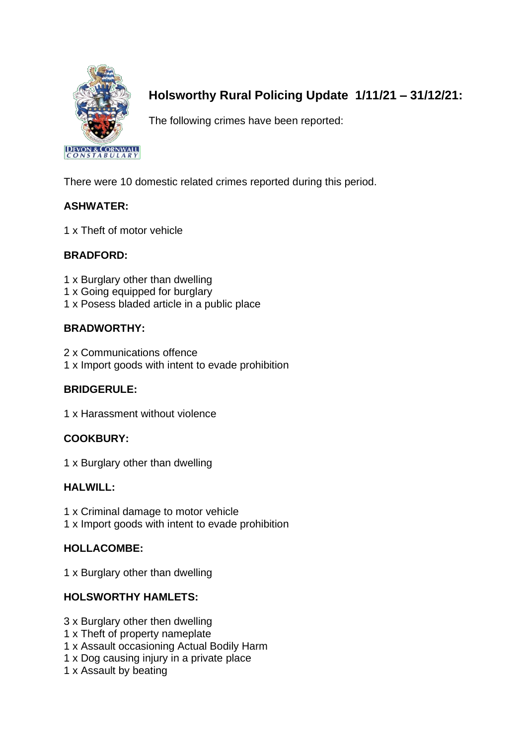

# **Holsworthy Rural Policing Update 1/11/21 – 31/12/21:**

The following crimes have been reported:

There were 10 domestic related crimes reported during this period.

## **ASHWATER:**

1 x Theft of motor vehicle

## **BRADFORD:**

- 1 x Burglary other than dwelling
- 1 x Going equipped for burglary
- 1 x Posess bladed article in a public place

## **BRADWORTHY:**

- 2 x Communications offence
- 1 x Import goods with intent to evade prohibition

## **BRIDGERULE:**

1 x Harassment without violence

## **COOKBURY:**

1 x Burglary other than dwelling

## **HALWILL:**

- 1 x Criminal damage to motor vehicle
- 1 x Import goods with intent to evade prohibition

## **HOLLACOMBE:**

1 x Burglary other than dwelling

## **HOLSWORTHY HAMLETS:**

- 3 x Burglary other then dwelling
- 1 x Theft of property nameplate
- 1 x Assault occasioning Actual Bodily Harm
- 1 x Dog causing injury in a private place
- 1 x Assault by beating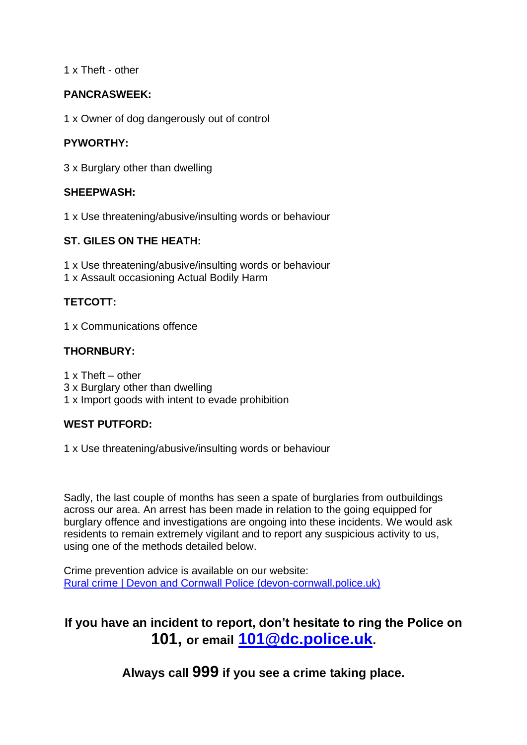1 x Theft - other

### **PANCRASWEEK:**

1 x Owner of dog dangerously out of control

### **PYWORTHY:**

3 x Burglary other than dwelling

### **SHEEPWASH:**

1 x Use threatening/abusive/insulting words or behaviour

#### **ST. GILES ON THE HEATH:**

1 x Use threatening/abusive/insulting words or behaviour 1 x Assault occasioning Actual Bodily Harm

### **TETCOTT:**

1 x Communications offence

### **THORNBURY:**

1 x Theft – other

- 3 x Burglary other than dwelling
- 1 x Import goods with intent to evade prohibition

#### **WEST PUTFORD:**

1 x Use threatening/abusive/insulting words or behaviour

Sadly, the last couple of months has seen a spate of burglaries from outbuildings across our area. An arrest has been made in relation to the going equipped for burglary offence and investigations are ongoing into these incidents. We would ask residents to remain extremely vigilant and to report any suspicious activity to us, using one of the methods detailed below.

Crime prevention advice is available on our website: [Rural crime | Devon and Cornwall Police \(devon-cornwall.police.uk\)](https://www.devon-cornwall.police.uk/advice/your-community/rural-crime/)

# **If you have an incident to report, don't hesitate to ring the Police on 101, or email [101@dc.police.uk](mailto:101@dc.police.uk).**

**Always call 999 if you see a crime taking place.**